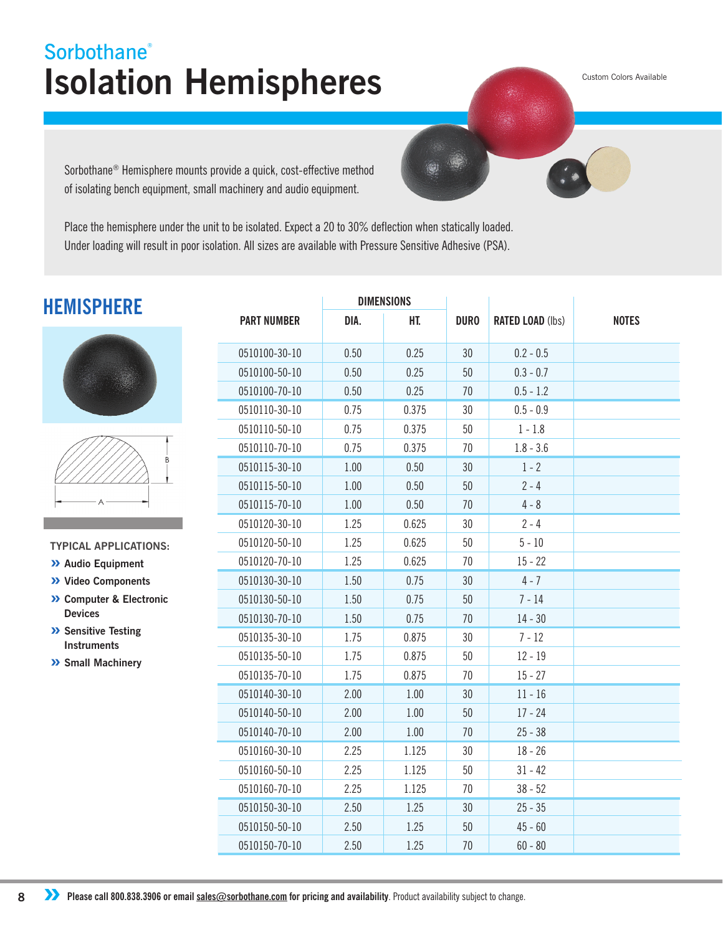## **Isolation Hemispheres Sorbothane®**

Custom Colors Available

Sorbothane® Hemisphere mounts provide a quick, cost-effective method of isolating bench equipment, small machinery and audio equipment.

Place the hemisphere under the unit to be isolated. Expect a 20 to 30% deflection when statically loaded. Under loading will result in poor isolation. All sizes are available with Pressure Sensitive Adhesive (PSA).

### **HEMISPHERE**





**TYPICAL APPLICATIONS:**

- **» Audio Equipment**
- **» Video Components**
- **» Computer & Electronic Devices**
- **» Sensitive Testing Instruments**
- **» Small Machinery**

|                    | <b>DIMENSIONS</b> |       |             |                         |              |
|--------------------|-------------------|-------|-------------|-------------------------|--------------|
| <b>PART NUMBER</b> | DIA.              | HT.   | <b>DURO</b> | <b>RATED LOAD (lbs)</b> | <b>NOTES</b> |
| 0510100-30-10      | 0.50              | 0.25  | 30          | $0.2 - 0.5$             |              |
| 0510100-50-10      | 0.50              | 0.25  | 50          | $0.3 - 0.7$             |              |
| 0510100-70-10      | 0.50              | 0.25  | 70          | $0.5 - 1.2$             |              |
| 0510110-30-10      | 0.75              | 0.375 | 30          | $0.5 - 0.9$             |              |
| 0510110-50-10      | 0.75              | 0.375 | 50          | $1 - 1.8$               |              |
| 0510110-70-10      | 0.75              | 0.375 | 70          | $1.8 - 3.6$             |              |
| 0510115-30-10      | 1.00              | 0.50  | 30          | $1 - 2$                 |              |
| 0510115-50-10      | 1.00              | 0.50  | 50          | $2 - 4$                 |              |
| 0510115-70-10      | 1.00              | 0.50  | 70          | $4 - 8$                 |              |
| 0510120-30-10      | 1.25              | 0.625 | 30          | $2 - 4$                 |              |
| 0510120-50-10      | 1.25              | 0.625 | 50          | $5 - 10$                |              |
| 0510120-70-10      | 1.25              | 0.625 | 70          | $15 - 22$               |              |
| 0510130-30-10      | 1.50              | 0.75  | 30          | $4 - 7$                 |              |
| 0510130-50-10      | 1.50              | 0.75  | 50          | $7 - 14$                |              |
| 0510130-70-10      | 1.50              | 0.75  | 70          | $14 - 30$               |              |
| 0510135-30-10      | 1.75              | 0.875 | 30          | $7 - 12$                |              |
| 0510135-50-10      | 1.75              | 0.875 | 50          | $12 - 19$               |              |
| 0510135-70-10      | 1.75              | 0.875 | 70          | $15 - 27$               |              |
| 0510140-30-10      | 2.00              | 1.00  | 30          | $11 - 16$               |              |
| 0510140-50-10      | 2.00              | 1.00  | 50          | $17 - 24$               |              |
| 0510140-70-10      | 2.00              | 1.00  | 70          | $25 - 38$               |              |
| 0510160-30-10      | 2.25              | 1.125 | 30          | $18 - 26$               |              |
| 0510160-50-10      | 2.25              | 1.125 | 50          | $31 - 42$               |              |
| 0510160-70-10      | 2.25              | 1.125 | 70          | $38 - 52$               |              |
| 0510150-30-10      | 2.50              | 1.25  | 30          | $25 - 35$               |              |
| 0510150-50-10      | 2.50              | 1.25  | 50          | $45 - 60$               |              |
| 0510150-70-10      | 2.50              | 1.25  | 70          | $60 - 80$               |              |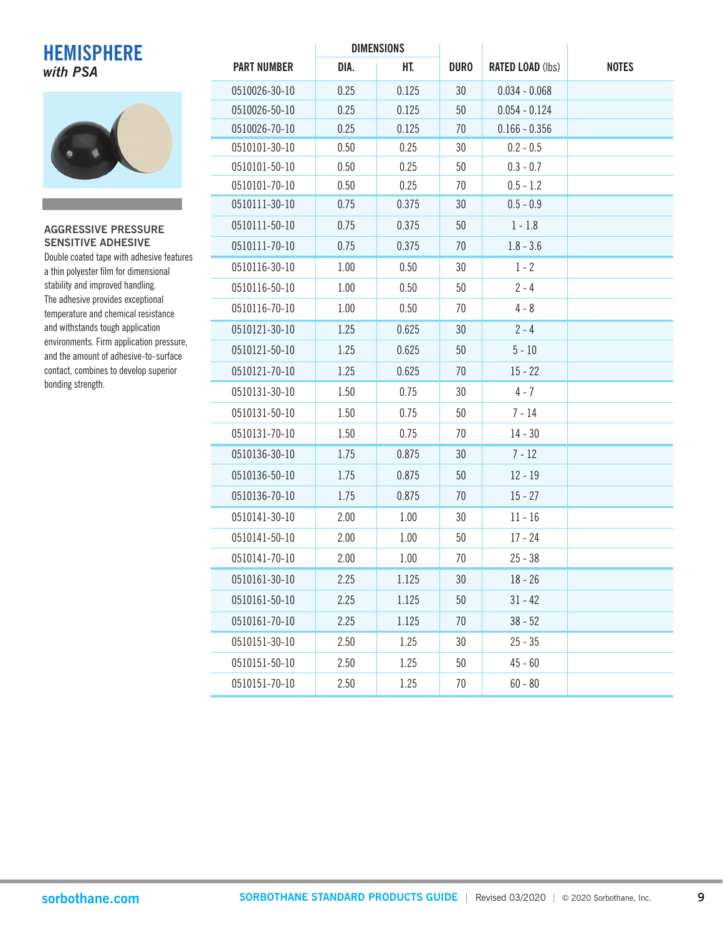# **HEMISPHERE**



| <b>HEMISPHERE</b>                                                                  |                    | DIMENSIONS |       |             |                         |              |
|------------------------------------------------------------------------------------|--------------------|------------|-------|-------------|-------------------------|--------------|
| with PSA                                                                           | <b>PART NUMBER</b> | DIA.       | HT.   | <b>DURO</b> | <b>RATED LOAD (lbs)</b> | <b>NOTES</b> |
|                                                                                    | 0510026-30-10      | 0.25       | 0.125 | 30          | $0.034 - 0.068$         |              |
|                                                                                    | 0510026-50-10      | 0.25       | 0.125 | 50          | $0.054 - 0.124$         |              |
|                                                                                    | 0510026-70-10      | 0.25       | 0.125 | 70          | $0.166 - 0.356$         |              |
|                                                                                    | 0510101-30-10      | 0.50       | 0.25  | 30          | $0.2 - 0.5$             |              |
|                                                                                    | 0510101-50-10      | 0.50       | 0.25  | 50          | $0.3 - 0.7$             |              |
|                                                                                    | 0510101-70-10      | 0.50       | 0.25  | 70          | $0.5 - 1.2$             |              |
|                                                                                    | 0510111-30-10      | 0.75       | 0.375 | 30          | $0.5 - 0.9$             |              |
| <b>AGGRESSIVE PRESSURE</b>                                                         | 0510111-50-10      | 0.75       | 0.375 | 50          | $1 - 1.8$               |              |
| <b>SENSITIVE ADHESIVE</b>                                                          | 0510111-70-10      | 0.75       | 0.375 | 70          | $1.8 - 3.6$             |              |
| Double coated tape with adhesive features<br>a thin polyester film for dimensional | 0510116-30-10      | 1.00       | 0.50  | 30          | $1 - 2$                 |              |
| stability and improved handling.                                                   | 0510116-50-10      | 1.00       | 0.50  | 50          | $2 - 4$                 |              |
| The adhesive provides exceptional<br>temperature and chemical resistance           | 0510116-70-10      | 1.00       | 0.50  | 70          | $4 - 8$                 |              |
| and withstands tough application                                                   | 0510121-30-10      | 1.25       | 0.625 | 30          | $2 - 4$                 |              |
| environments. Firm application pressure,<br>and the amount of adhesive-to-surface  | 0510121-50-10      | 1.25       | 0.625 | 50          | $5 - 10$                |              |
| contact, combines to develop superior                                              | 0510121-70-10      | 1.25       | 0.625 | 70          | $15 - 22$               |              |
| bonding strength.                                                                  | 0510131-30-10      | 1.50       | 0.75  | 30          | $4 - 7$                 |              |
|                                                                                    | 0510131-50-10      | 1.50       | 0.75  | 50          | $7 - 14$                |              |
|                                                                                    | 0510131-70-10      | 1.50       | 0.75  | 70          | $14 - 30$               |              |
|                                                                                    | 0510136-30-10      | 1.75       | 0.875 | 30          | $7 - 12$                |              |
|                                                                                    | 0510136-50-10      | 1.75       | 0.875 | 50          | $12 - 19$               |              |
|                                                                                    | 0510136-70-10      | 1.75       | 0.875 | 70          | $15 - 27$               |              |
|                                                                                    | 0510141-30-10      | 2.00       | 1.00  | 30          | $11 - 16$               |              |
|                                                                                    | 0510141-50-10      | 2.00       | 1.00  | 50          | $17 - 24$               |              |
|                                                                                    | 0510141-70-10      | 2.00       | 1.00  | 70          | $25 - 38$               |              |
|                                                                                    | 0510161-30-10      | 2.25       | 1.125 | $30\,$      | $18 - 26$               |              |
|                                                                                    | 0510161-50-10      | 2.25       | 1.125 | 50          | $31 - 42$               |              |
|                                                                                    | 0510161-70-10      | 2.25       | 1.125 | 70          | $38 - 52$               |              |
|                                                                                    | 0510151-30-10      | 2.50       | 1.25  | 30          | $25 - 35$               |              |
|                                                                                    | 0510151-50-10      | 2.50       | 1.25  | 50          | $45 - 60$               |              |
|                                                                                    | 0510151-70-10      | 2.50       | 1.25  | 70          | $60 - 80$               |              |

**DIMENSIONS**

 $\mathbf{r}$ 

 $\mathbf{r}$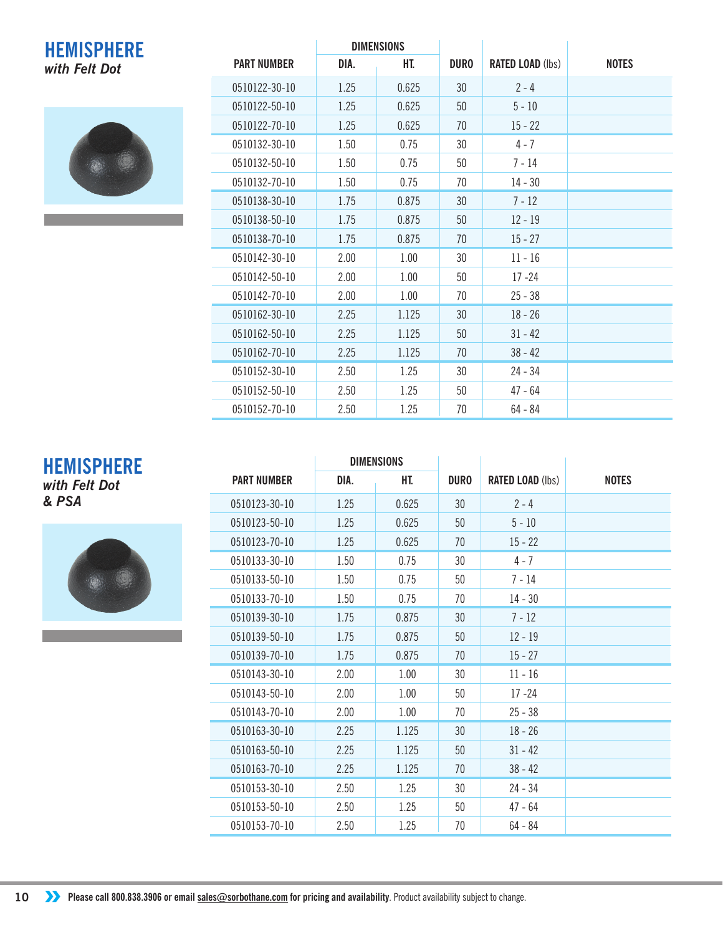#### **DIMENSIONS HEMISPHERE** *with Felt Dot*



|                    | <b>DIMENSIONS</b> |       |             |                         |              |
|--------------------|-------------------|-------|-------------|-------------------------|--------------|
| <b>PART NUMBER</b> | DIA.              | HT.   | <b>DURO</b> | <b>RATED LOAD (lbs)</b> | <b>NOTES</b> |
| 0510122-30-10      | 1.25              | 0.625 | 30          | $2 - 4$                 |              |
| 0510122-50-10      | 1.25              | 0.625 | 50          | $5 - 10$                |              |
| 0510122-70-10      | 1.25              | 0.625 | 70          | $15 - 22$               |              |
| 0510132-30-10      | 1.50              | 0.75  | 30          | $4 - 7$                 |              |
| 0510132-50-10      | 1.50              | 0.75  | 50          | $7 - 14$                |              |
| 0510132-70-10      | 1.50              | 0.75  | 70          | $14 - 30$               |              |
| 0510138-30-10      | 1.75              | 0.875 | 30          | $7 - 12$                |              |
| 0510138-50-10      | 1.75              | 0.875 | 50          | $12 - 19$               |              |
| 0510138-70-10      | 1.75              | 0.875 | 70          | $15 - 27$               |              |
| 0510142-30-10      | 2.00              | 1.00  | 30          | $11 - 16$               |              |
| 0510142-50-10      | 2.00              | 1.00  | 50          | $17 - 24$               |              |
| 0510142-70-10      | 2.00              | 1.00  | 70          | $25 - 38$               |              |
| 0510162-30-10      | 2.25              | 1.125 | 30          | $18 - 26$               |              |
| 0510162-50-10      | 2.25              | 1.125 | 50          | $31 - 42$               |              |
| 0510162-70-10      | 2.25              | 1.125 | 70          | $38 - 42$               |              |
| 0510152-30-10      | 2.50              | 1.25  | 30          | $24 - 34$               |              |
| 0510152-50-10      | 2.50              | 1.25  | 50          | $47 - 64$               |              |
| 0510152-70-10      | 2.50              | 1.25  | 70          | $64 - 84$               |              |

#### **DIMENSIONS HEMISPHERE**

*with Felt Dot & PSA*



|                    | <b>DIMENSIONS</b> |       |             |                         |              |
|--------------------|-------------------|-------|-------------|-------------------------|--------------|
| <b>PART NUMBER</b> | DIA.              | HT.   | <b>DURO</b> | <b>RATED LOAD (lbs)</b> | <b>NOTES</b> |
| 0510123-30-10      | 1.25              | 0.625 | 30          | $2 - 4$                 |              |
| 0510123-50-10      | 1.25              | 0.625 | 50          | $5 - 10$                |              |
| 0510123-70-10      | 1.25              | 0.625 | 70          | $15 - 22$               |              |
| 0510133-30-10      | 1.50              | 0.75  | 30          | $4 - 7$                 |              |
| 0510133-50-10      | 1.50              | 0.75  | 50          | $7 - 14$                |              |
| 0510133-70-10      | 1.50              | 0.75  | 70          | $14 - 30$               |              |
| 0510139-30-10      | 1.75              | 0.875 | 30          | $7 - 12$                |              |
| 0510139-50-10      | 1.75              | 0.875 | 50          | $12 - 19$               |              |
| 0510139-70-10      | 1.75              | 0.875 | 70          | $15 - 27$               |              |
| 0510143-30-10      | 2.00              | 1.00  | 30          | $11 - 16$               |              |
| 0510143-50-10      | 2.00              | 1.00  | 50          | $17 - 24$               |              |
| 0510143-70-10      | 2.00              | 1.00  | 70          | $25 - 38$               |              |
| 0510163-30-10      | 2.25              | 1.125 | 30          | $18 - 26$               |              |
| 0510163-50-10      | 2.25              | 1.125 | 50          | $31 - 42$               |              |
| 0510163-70-10      | 2.25              | 1.125 | 70          | $38 - 42$               |              |
| 0510153-30-10      | 2.50              | 1.25  | 30          | $24 - 34$               |              |
| 0510153-50-10      | 2.50              | 1.25  | 50          | $47 - 64$               |              |
| 0510153-70-10      | 2.50              | 1.25  | 70          | $64 - 84$               |              |